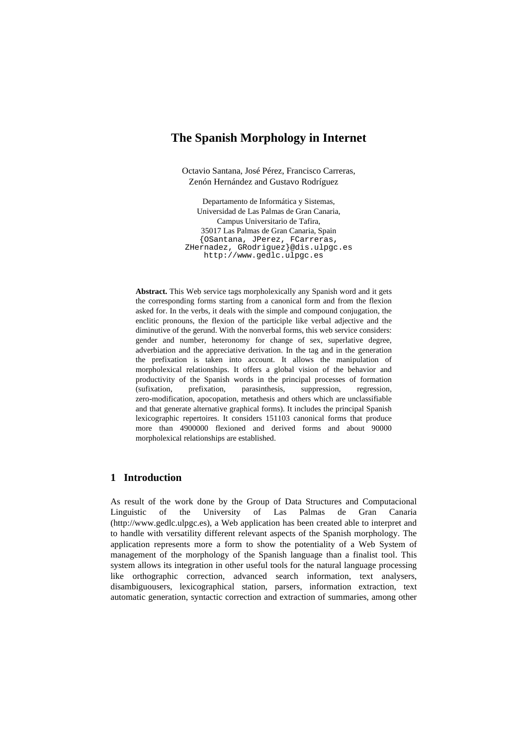# **The Spanish Morphology in Internet**

Octavio Santana, José Pérez, Francisco Carreras, Zenón Hernández and Gustavo Rodríguez

Departamento de Informática y Sistemas, Universidad de Las Palmas de Gran Canaria, Campus Universitario de Tafira, 35017 Las Palmas de Gran Canaria, Spain {OSantana, JPerez, FCarreras, ZHernadez, GRodriguez}@dis.ulpgc.es http://www.gedlc.ulpgc.es

**Abstract.** This Web service tags morpholexically any Spanish word and it gets the corresponding forms starting from a canonical form and from the flexion asked for. In the verbs, it deals with the simple and compound conjugation, the enclitic pronouns, the flexion of the participle like verbal adjective and the diminutive of the gerund. With the nonverbal forms, this web service considers: gender and number, heteronomy for change of sex, superlative degree, adverbiation and the appreciative derivation. In the tag and in the generation the prefixation is taken into account. It allows the manipulation of morpholexical relationships. It offers a global vision of the behavior and productivity of the Spanish words in the principal processes of formation (sufixation, prefixation, parasinthesis, suppression, regression, zero-modification, apocopation, metathesis and others which are unclassifiable and that generate alternative graphical forms). It includes the principal Spanish lexicographic repertoires. It considers 151103 canonical forms that produce more than 4900000 flexioned and derived forms and about 90000 morpholexical relationships are established.

## **1 Introduction**

As result of the work done by the Group of Data Structures and Computacional Linguistic of the University of Las Palmas de Gran Canaria (http://www.gedlc.ulpgc.es), a Web application has been created able to interpret and to handle with versatility different relevant aspects of the Spanish morphology. The application represents more a form to show the potentiality of a Web System of management of the morphology of the Spanish language than a finalist tool. This system allows its integration in other useful tools for the natural language processing like orthographic correction, advanced search information, text analysers, disambiguousers, lexicographical station, parsers, information extraction, text automatic generation, syntactic correction and extraction of summaries, among other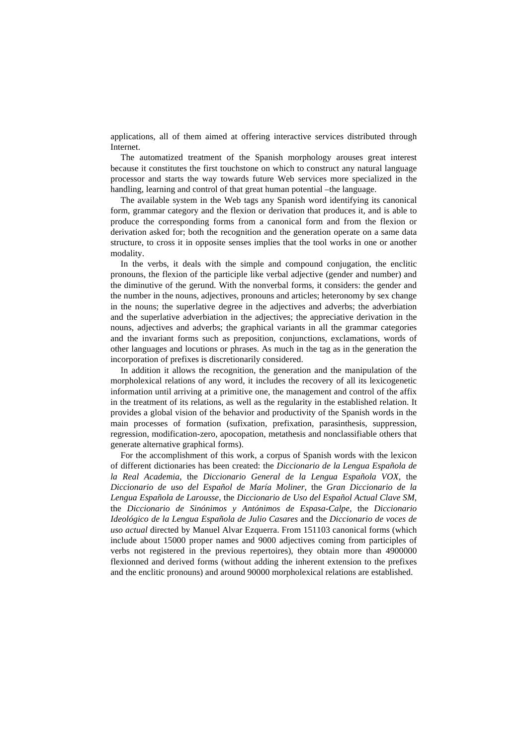applications, all of them aimed at offering interactive services distributed through Internet.

The automatized treatment of the Spanish morphology arouses great interest because it constitutes the first touchstone on which to construct any natural language processor and starts the way towards future Web services more specialized in the handling, learning and control of that great human potential –the language.

The available system in the Web tags any Spanish word identifying its canonical form, grammar category and the flexion or derivation that produces it, and is able to produce the corresponding forms from a canonical form and from the flexion or derivation asked for; both the recognition and the generation operate on a same data structure, to cross it in opposite senses implies that the tool works in one or another modality.

In the verbs, it deals with the simple and compound conjugation, the enclitic pronouns, the flexion of the participle like verbal adjective (gender and number) and the diminutive of the gerund. With the nonverbal forms, it considers: the gender and the number in the nouns, adjectives, pronouns and articles; heteronomy by sex change in the nouns; the superlative degree in the adjectives and adverbs; the adverbiation and the superlative adverbiation in the adjectives; the appreciative derivation in the nouns, adjectives and adverbs; the graphical variants in all the grammar categories and the invariant forms such as preposition, conjunctions, exclamations, words of other languages and locutions or phrases. As much in the tag as in the generation the incorporation of prefixes is discretionarily considered.

In addition it allows the recognition, the generation and the manipulation of the morpholexical relations of any word, it includes the recovery of all its lexicogenetic information until arriving at a primitive one, the management and control of the affix in the treatment of its relations, as well as the regularity in the established relation. It provides a global vision of the behavior and productivity of the Spanish words in the main processes of formation (sufixation, prefixation, parasinthesis, suppression, regression, modification-zero, apocopation, metathesis and nonclassifiable others that generate alternative graphical forms).

For the accomplishment of this work, a corpus of Spanish words with the lexicon of different dictionaries has been created: the *Diccionario de la Lengua Española de la Real Academia*, the *Diccionario General de la Lengua Española VOX*, the *Diccionario de uso del Español de María Moliner*, the *Gran Diccionario de la Lengua Española de Larousse*, the *Diccionario de Uso del Español Actual Clave SM*, the *Diccionario de Sinónimos y Antónimos de Espasa-Calpe*, the *Diccionario Ideológico de la Lengua Española de Julio Casares* and the *Diccionario de voces de uso actual* directed by Manuel Alvar Ezquerra. From 151103 canonical forms (which include about 15000 proper names and 9000 adjectives coming from participles of verbs not registered in the previous repertoires), they obtain more than 4900000 flexionned and derived forms (without adding the inherent extension to the prefixes and the enclitic pronouns) and around 90000 morpholexical relations are established.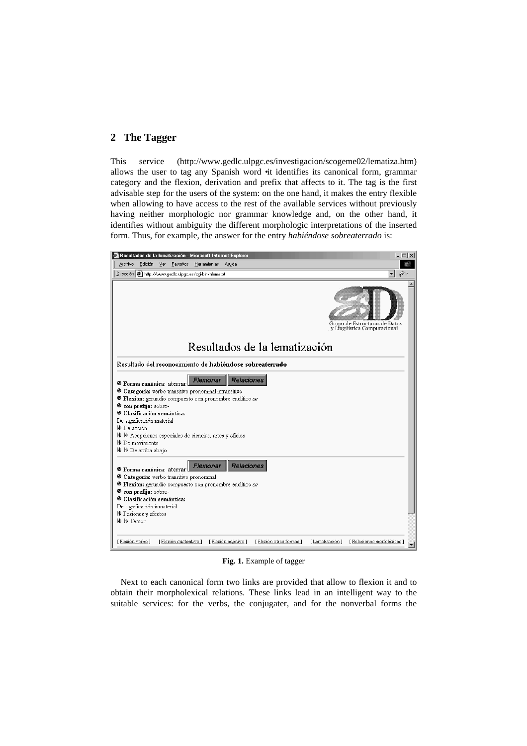## **2 The Tagger**

This service (http://www.gedlc.ulpgc.es/investigacion/scogeme02/lematiza.htm) allows the user to tag any Spanish word •it identifies its canonical form, grammar category and the flexion, derivation and prefix that affects to it. The tag is the first advisable step for the users of the system: on the one hand, it makes the entry flexible when allowing to have access to the rest of the available services without previously having neither morphologic nor grammar knowledge and, on the other hand, it identifies without ambiguity the different morphologic interpretations of the inserted form. Thus, for example, the answer for the entry *habiéndose sobreaterrado* is:



**Fig. 1.** Example of tagger

Next to each canonical form two links are provided that allow to flexion it and to obtain their morpholexical relations. These links lead in an intelligent way to the suitable services: for the verbs, the conjugater, and for the nonverbal forms the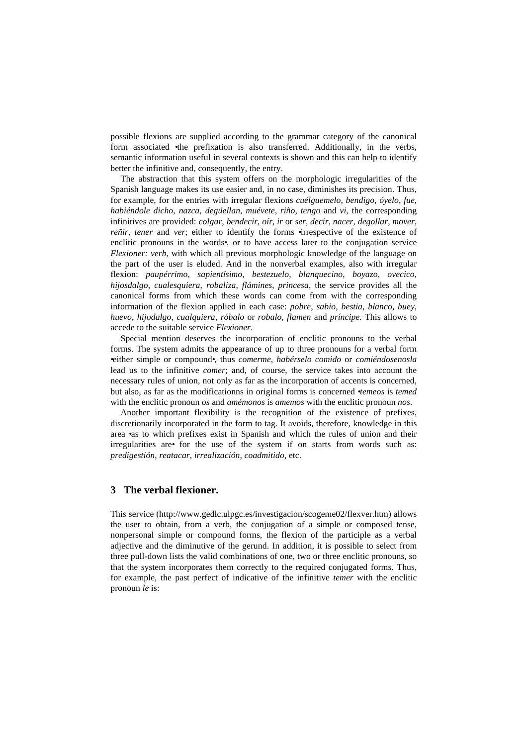possible flexions are supplied according to the grammar category of the canonical form associated the prefixation is also transferred. Additionally, in the verbs, semantic information useful in several contexts is shown and this can help to identify better the infinitive and, consequently, the entry.

The abstraction that this system offers on the morphologic irregularities of the Spanish language makes its use easier and, in no case, diminishes its precision. Thus, for example, for the entries with irregular flexions *cuélguemelo*, *bendigo*, *óyelo*, *fue*, *habiéndole dicho*, *nazca*, *degüellan*, *muévete*, *riño*, *tengo* and *vi*, the corresponding infinitives are provided: *colgar*, *bendecir*, *oír*, *ir* or *ser*, *decir*, *nacer*, *degollar*, *mover*, *reñir, tener* and *ver*; either to identify the forms **•**irrespective of the existence of enclitic pronouns in the words•, or to have access later to the conjugation service *Flexioner: verb*, with which all previous morphologic knowledge of the language on the part of the user is eluded. And in the nonverbal examples, also with irregular flexion: *paupérrimo*, *sapientísimo*, *bestezuelo*, *blanquecino*, *boyazo*, *ovecico*, *hijosdalgo*, *cualesquiera*, *robaliza*, *flámines*, *princesa*, the service provides all the canonical forms from which these words can come from with the corresponding information of the flexion applied in each case: *pobre*, *sabio*, *bestia*, *blanco*, *buey*, *huevo*, *hijodalgo*, *cualquiera*, *róbalo* or *robalo*, *flamen* and *príncipe*. This allows to accede to the suitable service *Flexioner*.

Special mention deserves the incorporation of enclitic pronouns to the verbal forms. The system admits the appearance of up to three pronouns for a verbal form •either simple or compound•, thus *comerme*, *habérselo comido* or *comiéndosenosla* lead us to the infinitive *comer*; and, of course, the service takes into account the necessary rules of union, not only as far as the incorporation of accents is concerned, but also, as far as the modificationns in original forms is concerned •*temeos* is *temed* with the enclitic pronoun *os* and *amémonos* is *amemos* with the enclitic pronoun *nos*.

Another important flexibility is the recognition of the existence of prefixes, discretionarily incorporated in the form to tag. It avoids, therefore, knowledge in this area •as to which prefixes exist in Spanish and which the rules of union and their irregularities are• for the use of the system if on starts from words such as: *predigestión*, *reatacar*, *irrealización*, *coadmitido*, etc.

## **3 The verbal flexioner.**

This service (http://www.gedlc.ulpgc.es/investigacion/scogeme02/flexver.htm) allows the user to obtain, from a verb, the conjugation of a simple or composed tense, nonpersonal simple or compound forms, the flexion of the participle as a verbal adjective and the diminutive of the gerund. In addition, it is possible to select from three pull-down lists the valid combinations of one, two or three enclitic pronouns, so that the system incorporates them correctly to the required conjugated forms. Thus, for example, the past perfect of indicative of the infinitive *temer* with the enclitic pronoun *le* is: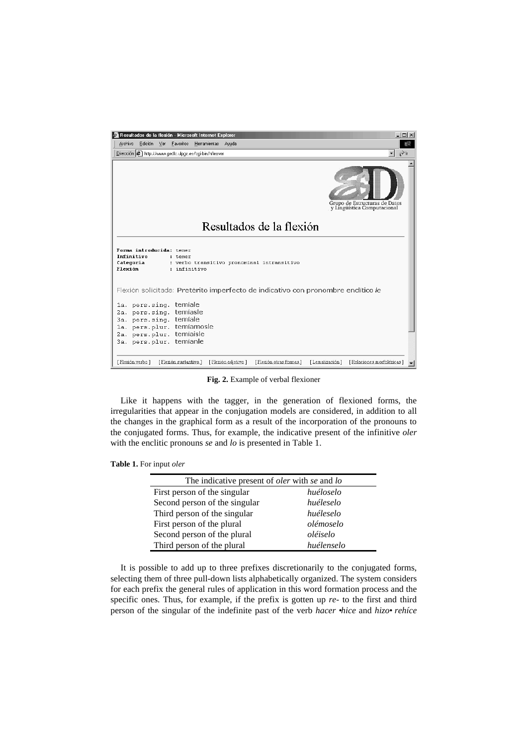

**Fig. 2.** Example of verbal flexioner

Like it happens with the tagger, in the generation of flexioned forms, the irregularities that appear in the conjugation models are considered, in addition to all the changes in the graphical form as a result of the incorporation of the pronouns to the conjugated forms. Thus, for example, the indicative present of the infinitive *oler* with the enclitic pronouns *se* and *lo* is presented in Table 1.

#### **Table 1.** For input *oler* J.

| The indicative present of <i>oler</i> with se and lo |            |  |
|------------------------------------------------------|------------|--|
| First person of the singular                         | huéloselo  |  |
| Second person of the singular                        | huéleselo  |  |
| Third person of the singular                         | huéleselo  |  |
| First person of the plural                           | olémoselo  |  |
| Second person of the plural                          | oléiselo   |  |
| Third person of the plural                           | huélenselo |  |

It is possible to add up to three prefixes discretionarily to the conjugated forms, selecting them of three pull-down lists alphabetically organized. The system considers for each prefix the general rules of application in this word formation process and the specific ones. Thus, for example, if the prefix is gotten up *re-* to the first and third person of the singular of the indefinite past of the verb *hacer* •*hice* and *hizo*• *rehíce*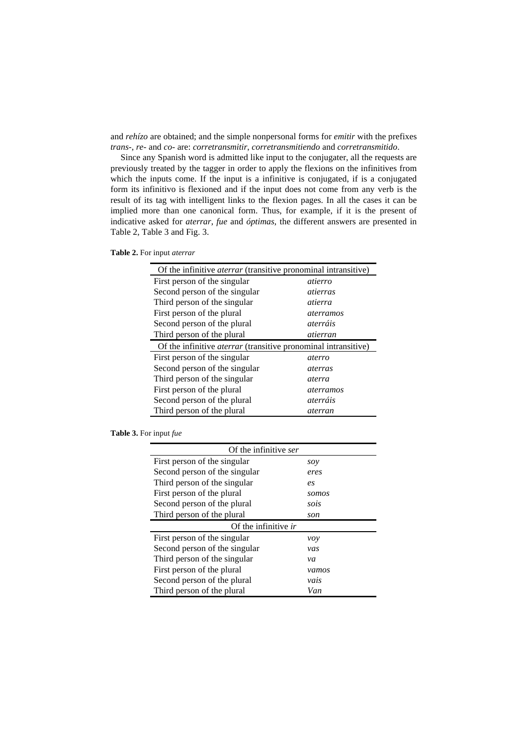and *rehízo* are obtained; and the simple nonpersonal forms for *emitir* with the prefixes *trans-*, *re-* and *co-* are: *corretransmitir*, *corretransmitiendo* and *corretransmitido*.

Since any Spanish word is admitted like input to the conjugater, all the requests are previously treated by the tagger in order to apply the flexions on the infinitives from which the inputs come. If the input is a infinitive is conjugated, if is a conjugated form its infinitivo is flexioned and if the input does not come from any verb is the result of its tag with intelligent links to the flexion pages. In all the cases it can be implied more than one canonical form. Thus, for example, if it is the present of indicative asked for *aterrar*, *fue* and *óptimas*, the different answers are presented in Table 2, Table 3 and Fig. 3.

**Table 2.** For input *aterrar*

| Of the infinitive <i>aterrar</i> (transitive pronominal intransitive) |                 |
|-----------------------------------------------------------------------|-----------------|
| First person of the singular                                          | atierro         |
| Second person of the singular                                         | atierras        |
| Third person of the singular                                          | atierra         |
| First person of the plural                                            | aterramos       |
| Second person of the plural                                           | aterráis        |
| Third person of the plural                                            | atierran        |
|                                                                       |                 |
| Of the infinitive <i>aterrar</i> (transitive pronominal intransitive) |                 |
| First person of the singular                                          | aterro          |
| Second person of the singular                                         | aterras         |
| Third person of the singular                                          | aterra          |
| First person of the plural                                            | aterramos       |
| Second person of the plural                                           | <i>aterráis</i> |

#### **Table 3.** For input *fue*

| Of the infinitive ser         |       |  |
|-------------------------------|-------|--|
| First person of the singular  | soy   |  |
| Second person of the singular | eres  |  |
| Third person of the singular  | es    |  |
| First person of the plural    | somos |  |
| Second person of the plural   | sois  |  |
| Third person of the plural    | son   |  |
| Of the infinitive <i>ir</i>   |       |  |
| First person of the singular  | voy   |  |
| Second person of the singular | vas   |  |
| Third person of the singular  | va    |  |
| First person of the plural    | vamos |  |
| Second person of the plural   | vais  |  |
| Third person of the plural    | Van   |  |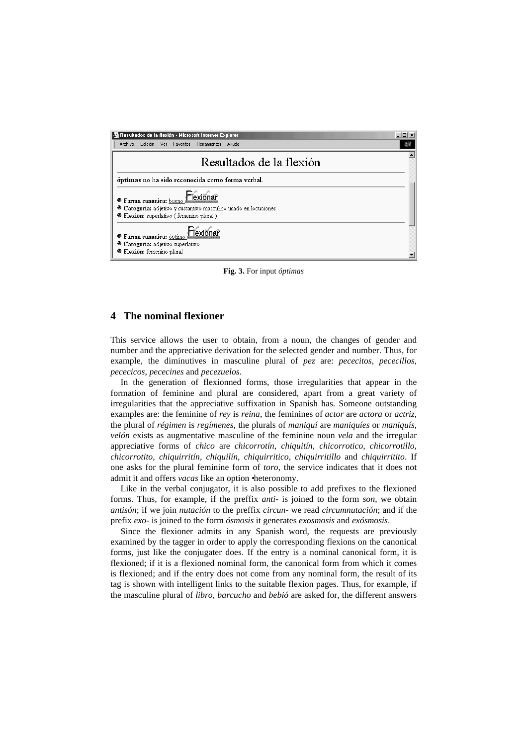

**Fig. 3.** For input *óptimas*

## **4 The nominal flexioner**

This service allows the user to obtain, from a noun, the changes of gender and number and the appreciative derivation for the selected gender and number. Thus, for example, the diminutives in masculine plural of *pez* are: *pececitos*, *pececillos*, *pececicos*, *pececines* and *pecezuelos*.

In the generation of flexionned forms, those irregularities that appear in the formation of feminine and plural are considered, apart from a great variety of irregularities that the appreciative suffixation in Spanish has. Someone outstanding examples are: the feminine of *rey* is *reina*, the feminines of *actor* are *actora* or *actriz*, the plural of *régimen* is *regímenes*, the plurals of *maniquí* are *maniquíes* or *maniquís*, *velón* exists as augmentative masculine of the feminine noun *vela* and the irregular appreciative forms of *chico* are *chicorrotín*, *chiquitín*, *chicorrotico*, *chicorrotillo*, *chicorrotito*, *chiquirritín*, *chiquilín*, *chiquirritico*, *chiquirritillo* and *chiquirritito*. If one asks for the plural feminine form of *toro*, the service indicates that it does not admit it and offers *vacas* like an option •heteronomy.

Like in the verbal conjugator, it is also possible to add prefixes to the flexioned forms. Thus, for example, if the preffix *anti-* is joined to the form *son*, we obtain *antisón*; if we join *nutación* to the preffix *circun-* we read *circumnutación*; and if the prefix *exo-* is joined to the form *ósmosis* it generates *exosmosis* and *exósmosis*.

Since the flexioner admits in any Spanish word, the requests are previously examined by the tagger in order to apply the corresponding flexions on the canonical forms, just like the conjugater does. If the entry is a nominal canonical form, it is flexioned; if it is a flexioned nominal form, the canonical form from which it comes is flexioned; and if the entry does not come from any nominal form, the result of its tag is shown with intelligent links to the suitable flexion pages. Thus, for example, if the masculine plural of *libro*, *barcucho* and *bebió* are asked for, the different answers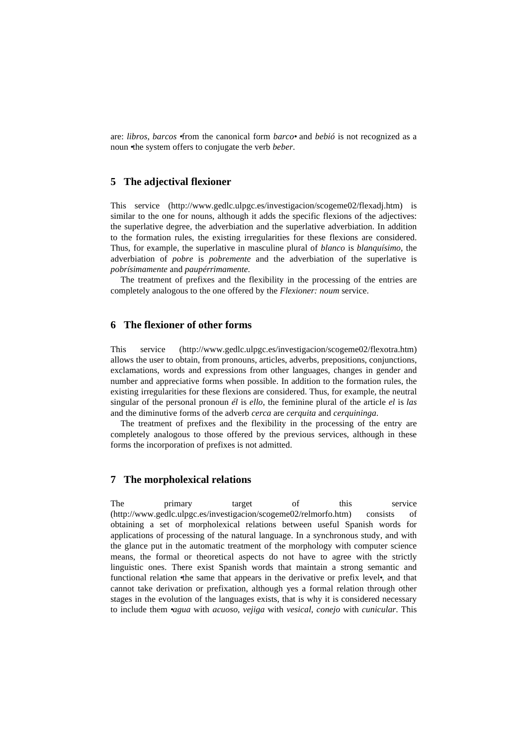are: *libros*, *barcos* •from the canonical form *barco*• and *bebió* is not recognized as a noun •the system offers to conjugate the verb *beber*.

## **5 The adjectival flexioner**

This service (http://www.gedlc.ulpgc.es/investigacion/scogeme02/flexadj.htm) is similar to the one for nouns, although it adds the specific flexions of the adjectives: the superlative degree, the adverbiation and the superlative adverbiation. In addition to the formation rules, the existing irregularities for these flexions are considered. Thus, for example, the superlative in masculine plural of *blanco* is *blanquísimo*, the adverbiation of *pobre* is *pobremente* and the adverbiation of the superlative is *pobrísimamente* and *paupérrimamente*.

The treatment of prefixes and the flexibility in the processing of the entries are completely analogous to the one offered by the *Flexioner: noum* service.

## **6 The flexioner of other forms**

This service (http://www.gedlc.ulpgc.es/investigacion/scogeme02/flexotra.htm) allows the user to obtain, from pronouns, articles, adverbs, prepositions, conjunctions, exclamations, words and expressions from other languages, changes in gender and number and appreciative forms when possible. In addition to the formation rules, the existing irregularities for these flexions are considered. Thus, for example, the neutral singular of the personal pronoun *él* is *ello*, the feminine plural of the article *el* is *las* and the diminutive forms of the adverb *cerca* are *cerquita* and *cerquininga*.

The treatment of prefixes and the flexibility in the processing of the entry are completely analogous to those offered by the previous services, although in these forms the incorporation of prefixes is not admitted.

#### **7 The morpholexical relations**

The primary target of this service (http://www.gedlc.ulpgc.es/investigacion/scogeme02/relmorfo.htm) consists of obtaining a set of morpholexical relations between useful Spanish words for applications of processing of the natural language. In a synchronous study, and with the glance put in the automatic treatment of the morphology with computer science means, the formal or theoretical aspects do not have to agree with the strictly linguistic ones. There exist Spanish words that maintain a strong semantic and functional relation •the same that appears in the derivative or prefix level•, and that cannot take derivation or prefixation, although yes a formal relation through other stages in the evolution of the languages exists, that is why it is considered necessary to include them •*agua* with *acuoso*, *vejiga* with *vesical*, *conejo* with *cunicular*. This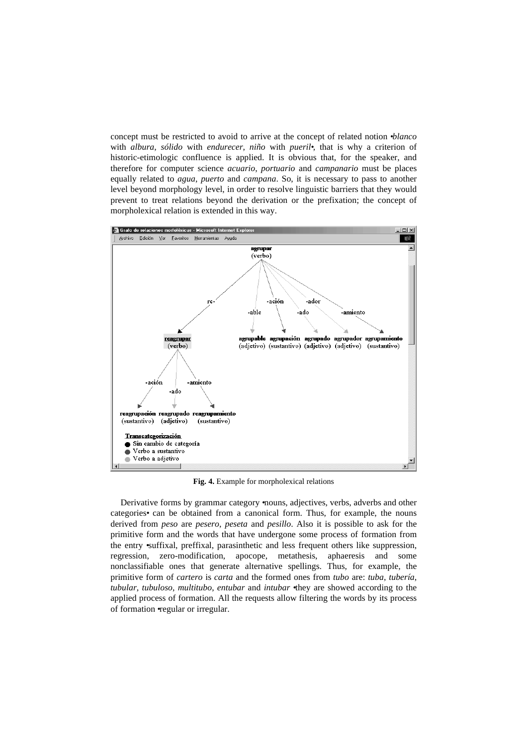concept must be restricted to avoid to arrive at the concept of related notion •*blanco* with *albura*, *sólido* with *endurecer*, *niño* with *pueril*•, that is why a criterion of historic-etimologic confluence is applied. It is obvious that, for the speaker, and therefore for computer science *acuario*, *portuario* and *campanario* must be places equally related to *agua*, *puerto* and *campana*. So, it is necessary to pass to another level beyond morphology level, in order to resolve linguistic barriers that they would prevent to treat relations beyond the derivation or the prefixation; the concept of morpholexical relation is extended in this way.



**Fig. 4.** Example for morpholexical relations

Derivative forms by grammar category •nouns, adjectives, verbs, adverbs and other categories• can be obtained from a canonical form. Thus, for example, the nouns derived from *peso* are *pesero*, *peseta* and *pesillo*. Also it is possible to ask for the primitive form and the words that have undergone some process of formation from the entry •suffixal, preffixal, parasinthetic and less frequent others like suppression, regression, zero-modification, apocope, metathesis, aphaeresis and some nonclassifiable ones that generate alternative spellings. Thus, for example, the primitive form of *cartero* is *carta* and the formed ones from *tubo* are: *tuba*, *tubería*, *tubular*, *tubuloso*, *multitubo*, *entubar* and *intubar* •they are showed according to the applied process of formation. All the requests allow filtering the words by its process of formation •regular or irregular.